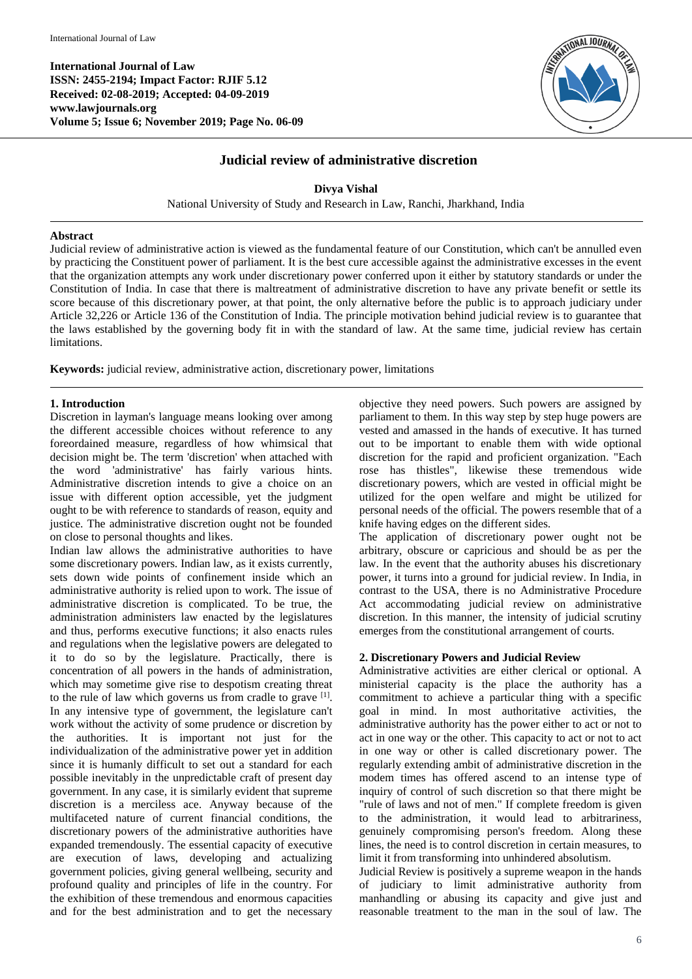**International Journal of Law ISSN: 2455-2194; Impact Factor: RJIF 5.12 Received: 02-08-2019; Accepted: 04-09-2019 www.lawjournals.org Volume 5; Issue 6; November 2019; Page No. 06-09**



# **Judicial review of administrative discretion**

**Divya Vishal**

National University of Study and Research in Law, Ranchi, Jharkhand, India

### **Abstract**

Judicial review of administrative action is viewed as the fundamental feature of our Constitution, which can't be annulled even by practicing the Constituent power of parliament. It is the best cure accessible against the administrative excesses in the event that the organization attempts any work under discretionary power conferred upon it either by statutory standards or under the Constitution of India. In case that there is maltreatment of administrative discretion to have any private benefit or settle its score because of this discretionary power, at that point, the only alternative before the public is to approach judiciary under Article 32,226 or Article 136 of the Constitution of India. The principle motivation behind judicial review is to guarantee that the laws established by the governing body fit in with the standard of law. At the same time, judicial review has certain limitations.

**Keywords:** judicial review, administrative action, discretionary power, limitations

## **1. Introduction**

Discretion in layman's language means looking over among the different accessible choices without reference to any foreordained measure, regardless of how whimsical that decision might be. The term 'discretion' when attached with the word 'administrative' has fairly various hints. Administrative discretion intends to give a choice on an issue with different option accessible, yet the judgment ought to be with reference to standards of reason, equity and justice. The administrative discretion ought not be founded on close to personal thoughts and likes.

Indian law allows the administrative authorities to have some discretionary powers. Indian law, as it exists currently, sets down wide points of confinement inside which an administrative authority is relied upon to work. The issue of administrative discretion is complicated. To be true, the administration administers law enacted by the legislatures and thus, performs executive functions; it also enacts rules and regulations when the legislative powers are delegated to it to do so by the legislature. Practically, there is concentration of all powers in the hands of administration, which may sometime give rise to despotism creating threat to the rule of law which governs us from cradle to grave [1]. In any intensive type of government, the legislature can't work without the activity of some prudence or discretion by the authorities. It is important not just for the individualization of the administrative power yet in addition since it is humanly difficult to set out a standard for each possible inevitably in the unpredictable craft of present day government. In any case, it is similarly evident that supreme discretion is a merciless ace. Anyway because of the multifaceted nature of current financial conditions, the discretionary powers of the administrative authorities have expanded tremendously. The essential capacity of executive are execution of laws, developing and actualizing government policies, giving general wellbeing, security and profound quality and principles of life in the country. For the exhibition of these tremendous and enormous capacities and for the best administration and to get the necessary objective they need powers. Such powers are assigned by parliament to them. In this way step by step huge powers are vested and amassed in the hands of executive. It has turned out to be important to enable them with wide optional discretion for the rapid and proficient organization. "Each rose has thistles", likewise these tremendous wide discretionary powers, which are vested in official might be utilized for the open welfare and might be utilized for personal needs of the official. The powers resemble that of a knife having edges on the different sides.

The application of discretionary power ought not be arbitrary, obscure or capricious and should be as per the law. In the event that the authority abuses his discretionary power, it turns into a ground for judicial review. In India, in contrast to the USA, there is no Administrative Procedure Act accommodating judicial review on administrative discretion. In this manner, the intensity of judicial scrutiny emerges from the constitutional arrangement of courts.

## **2. Discretionary Powers and Judicial Review**

Administrative activities are either clerical or optional. A ministerial capacity is the place the authority has a commitment to achieve a particular thing with a specific goal in mind. In most authoritative activities, the administrative authority has the power either to act or not to act in one way or the other. This capacity to act or not to act in one way or other is called discretionary power. The regularly extending ambit of administrative discretion in the modem times has offered ascend to an intense type of inquiry of control of such discretion so that there might be "rule of laws and not of men." If complete freedom is given to the administration, it would lead to arbitrariness, genuinely compromising person's freedom. Along these lines, the need is to control discretion in certain measures, to limit it from transforming into unhindered absolutism.

Judicial Review is positively a supreme weapon in the hands of judiciary to limit administrative authority from manhandling or abusing its capacity and give just and reasonable treatment to the man in the soul of law. The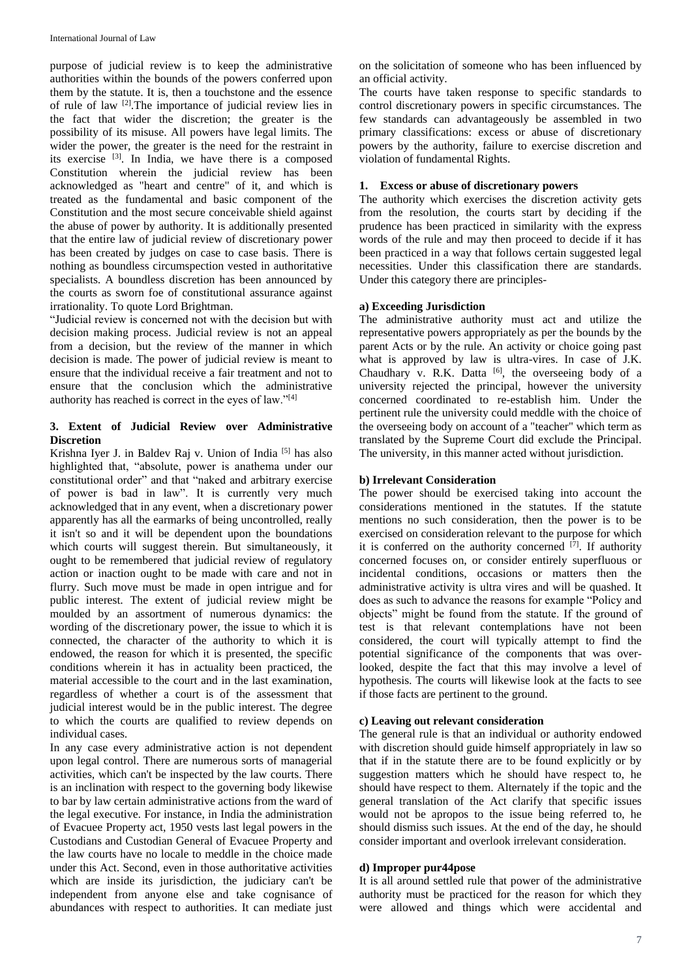purpose of judicial review is to keep the administrative authorities within the bounds of the powers conferred upon them by the statute. It is, then a touchstone and the essence of rule of law [2].The importance of judicial review lies in the fact that wider the discretion; the greater is the possibility of its misuse. All powers have legal limits. The wider the power, the greater is the need for the restraint in its exercise  $[3]$ . In India, we have there is a composed Constitution wherein the judicial review has been acknowledged as "heart and centre" of it, and which is treated as the fundamental and basic component of the Constitution and the most secure conceivable shield against the abuse of power by authority. It is additionally presented that the entire law of judicial review of discretionary power has been created by judges on case to case basis. There is nothing as boundless circumspection vested in authoritative specialists. A boundless discretion has been announced by the courts as sworn foe of constitutional assurance against irrationality. To quote Lord Brightman.

"Judicial review is concerned not with the decision but with decision making process. Judicial review is not an appeal from a decision, but the review of the manner in which decision is made. The power of judicial review is meant to ensure that the individual receive a fair treatment and not to ensure that the conclusion which the administrative authority has reached is correct in the eyes of law."<sup>[4]</sup>

## **3. Extent of Judicial Review over Administrative Discretion**

Krishna Iver J. in Baldev Raj v. Union of India [5] has also highlighted that, "absolute, power is anathema under our constitutional order" and that "naked and arbitrary exercise of power is bad in law". It is currently very much acknowledged that in any event, when a discretionary power apparently has all the earmarks of being uncontrolled, really it isn't so and it will be dependent upon the boundations which courts will suggest therein. But simultaneously, it ought to be remembered that judicial review of regulatory action or inaction ought to be made with care and not in flurry. Such move must be made in open intrigue and for public interest. The extent of judicial review might be moulded by an assortment of numerous dynamics: the wording of the discretionary power, the issue to which it is connected, the character of the authority to which it is endowed, the reason for which it is presented, the specific conditions wherein it has in actuality been practiced, the material accessible to the court and in the last examination, regardless of whether a court is of the assessment that judicial interest would be in the public interest. The degree to which the courts are qualified to review depends on individual cases.

In any case every administrative action is not dependent upon legal control. There are numerous sorts of managerial activities, which can't be inspected by the law courts. There is an inclination with respect to the governing body likewise to bar by law certain administrative actions from the ward of the legal executive. For instance, in India the administration of Evacuee Property act, 1950 vests last legal powers in the Custodians and Custodian General of Evacuee Property and the law courts have no locale to meddle in the choice made under this Act. Second, even in those authoritative activities which are inside its jurisdiction, the judiciary can't be independent from anyone else and take cognisance of abundances with respect to authorities. It can mediate just on the solicitation of someone who has been influenced by an official activity.

The courts have taken response to specific standards to control discretionary powers in specific circumstances. The few standards can advantageously be assembled in two primary classifications: excess or abuse of discretionary powers by the authority, failure to exercise discretion and violation of fundamental Rights.

## **1. Excess or abuse of discretionary powers**

The authority which exercises the discretion activity gets from the resolution, the courts start by deciding if the prudence has been practiced in similarity with the express words of the rule and may then proceed to decide if it has been practiced in a way that follows certain suggested legal necessities. Under this classification there are standards. Under this category there are principles-

## **a) Exceeding Jurisdiction**

The administrative authority must act and utilize the representative powers appropriately as per the bounds by the parent Acts or by the rule. An activity or choice going past what is approved by law is ultra-vires. In case of J.K. Chaudhary v. R.K. Datta  $[6]$ , the overseeing body of a university rejected the principal, however the university concerned coordinated to re-establish him. Under the pertinent rule the university could meddle with the choice of the overseeing body on account of a "teacher" which term as translated by the Supreme Court did exclude the Principal. The university, in this manner acted without jurisdiction.

## **b) Irrelevant Consideration**

The power should be exercised taking into account the considerations mentioned in the statutes. If the statute mentions no such consideration, then the power is to be exercised on consideration relevant to the purpose for which it is conferred on the authority concerned  $[\bar{7}]$ . If authority concerned focuses on, or consider entirely superfluous or incidental conditions, occasions or matters then the administrative activity is ultra vires and will be quashed. It does as such to advance the reasons for example "Policy and objects" might be found from the statute. If the ground of test is that relevant contemplations have not been considered, the court will typically attempt to find the potential significance of the components that was overlooked, despite the fact that this may involve a level of hypothesis. The courts will likewise look at the facts to see if those facts are pertinent to the ground.

## **c) Leaving out relevant consideration**

The general rule is that an individual or authority endowed with discretion should guide himself appropriately in law so that if in the statute there are to be found explicitly or by suggestion matters which he should have respect to, he should have respect to them. Alternately if the topic and the general translation of the Act clarify that specific issues would not be apropos to the issue being referred to, he should dismiss such issues. At the end of the day, he should consider important and overlook irrelevant consideration.

## **d) Improper pur44pose**

It is all around settled rule that power of the administrative authority must be practiced for the reason for which they were allowed and things which were accidental and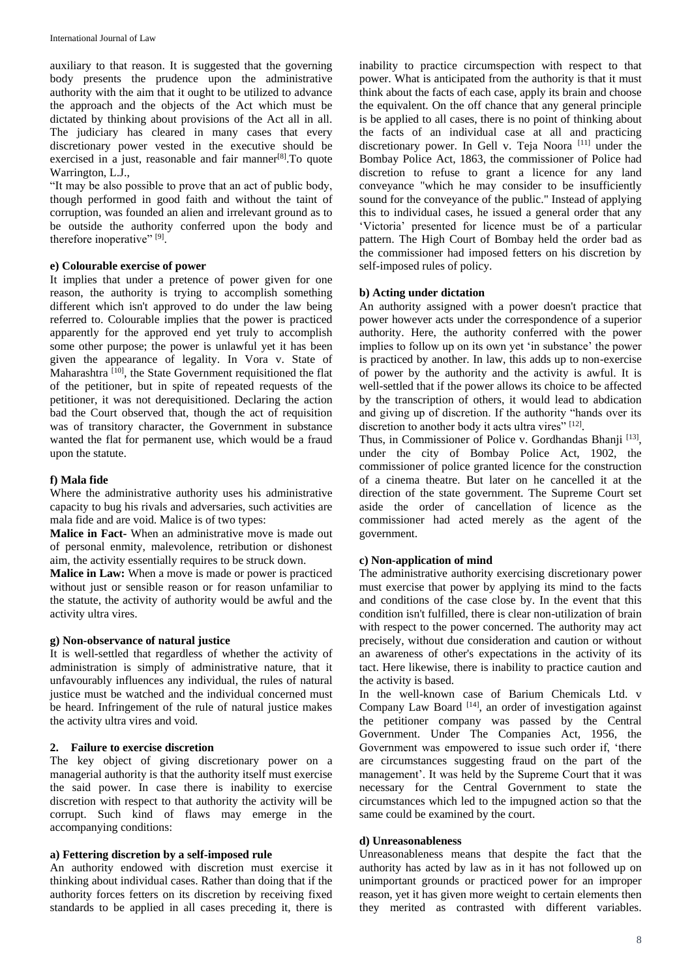auxiliary to that reason. It is suggested that the governing body presents the prudence upon the administrative authority with the aim that it ought to be utilized to advance the approach and the objects of the Act which must be dictated by thinking about provisions of the Act all in all. The judiciary has cleared in many cases that every discretionary power vested in the executive should be exercised in a just, reasonable and fair manner<sup>[8]</sup>. To quote Warrington, L.J.,

"It may be also possible to prove that an act of public body, though performed in good faith and without the taint of corruption, was founded an alien and irrelevant ground as to be outside the authority conferred upon the body and therefore inoperative" [9].

### **e) Colourable exercise of power**

It implies that under a pretence of power given for one reason, the authority is trying to accomplish something different which isn't approved to do under the law being referred to. Colourable implies that the power is practiced apparently for the approved end yet truly to accomplish some other purpose; the power is unlawful yet it has been given the appearance of legality. In Vora v. State of Maharashtra  $\overline{[10]}$ , the State Government requisitioned the flat of the petitioner, but in spite of repeated requests of the petitioner, it was not derequisitioned. Declaring the action bad the Court observed that, though the act of requisition was of transitory character, the Government in substance wanted the flat for permanent use, which would be a fraud upon the statute.

### **f) Mala fide**

Where the administrative authority uses his administrative capacity to bug his rivals and adversaries, such activities are mala fide and are void. Malice is of two types:

**Malice in Fact-** When an administrative move is made out of personal enmity, malevolence, retribution or dishonest aim, the activity essentially requires to be struck down.

**Malice in Law:** When a move is made or power is practiced without just or sensible reason or for reason unfamiliar to the statute, the activity of authority would be awful and the activity ultra vires.

### **g) Non-observance of natural justice**

It is well-settled that regardless of whether the activity of administration is simply of administrative nature, that it unfavourably influences any individual, the rules of natural justice must be watched and the individual concerned must be heard. Infringement of the rule of natural justice makes the activity ultra vires and void.

## **2. Failure to exercise discretion**

The key object of giving discretionary power on a managerial authority is that the authority itself must exercise the said power. In case there is inability to exercise discretion with respect to that authority the activity will be corrupt. Such kind of flaws may emerge in the accompanying conditions:

### **a) Fettering discretion by a self-imposed rule**

An authority endowed with discretion must exercise it thinking about individual cases. Rather than doing that if the authority forces fetters on its discretion by receiving fixed standards to be applied in all cases preceding it, there is

inability to practice circumspection with respect to that power. What is anticipated from the authority is that it must think about the facts of each case, apply its brain and choose the equivalent. On the off chance that any general principle is be applied to all cases, there is no point of thinking about the facts of an individual case at all and practicing discretionary power. In Gell v. Teja Noora [11] under the Bombay Police Act, 1863, the commissioner of Police had discretion to refuse to grant a licence for any land conveyance "which he may consider to be insufficiently sound for the conveyance of the public." Instead of applying this to individual cases, he issued a general order that any 'Victoria' presented for licence must be of a particular pattern. The High Court of Bombay held the order bad as the commissioner had imposed fetters on his discretion by self-imposed rules of policy.

## **b) Acting under dictation**

An authority assigned with a power doesn't practice that power however acts under the correspondence of a superior authority. Here, the authority conferred with the power implies to follow up on its own yet 'in substance' the power is practiced by another. In law, this adds up to non-exercise of power by the authority and the activity is awful. It is well-settled that if the power allows its choice to be affected by the transcription of others, it would lead to abdication and giving up of discretion. If the authority "hands over its discretion to another body it acts ultra vires" [12].

Thus, in Commissioner of Police v. Gordhandas Bhanji [13], under the city of Bombay Police Act, 1902, the commissioner of police granted licence for the construction of a cinema theatre. But later on he cancelled it at the direction of the state government. The Supreme Court set aside the order of cancellation of licence as the commissioner had acted merely as the agent of the government.

### **c) Non-application of mind**

The administrative authority exercising discretionary power must exercise that power by applying its mind to the facts and conditions of the case close by. In the event that this condition isn't fulfilled, there is clear non-utilization of brain with respect to the power concerned. The authority may act precisely, without due consideration and caution or without an awareness of other's expectations in the activity of its tact. Here likewise, there is inability to practice caution and the activity is based.

In the well-known case of Barium Chemicals Ltd. v Company Law Board  $[14]$ , an order of investigation against the petitioner company was passed by the Central Government. Under The Companies Act, 1956, the Government was empowered to issue such order if, 'there are circumstances suggesting fraud on the part of the management'. It was held by the Supreme Court that it was necessary for the Central Government to state the circumstances which led to the impugned action so that the same could be examined by the court.

### **d) Unreasonableness**

Unreasonableness means that despite the fact that the authority has acted by law as in it has not followed up on unimportant grounds or practiced power for an improper reason, yet it has given more weight to certain elements then they merited as contrasted with different variables.